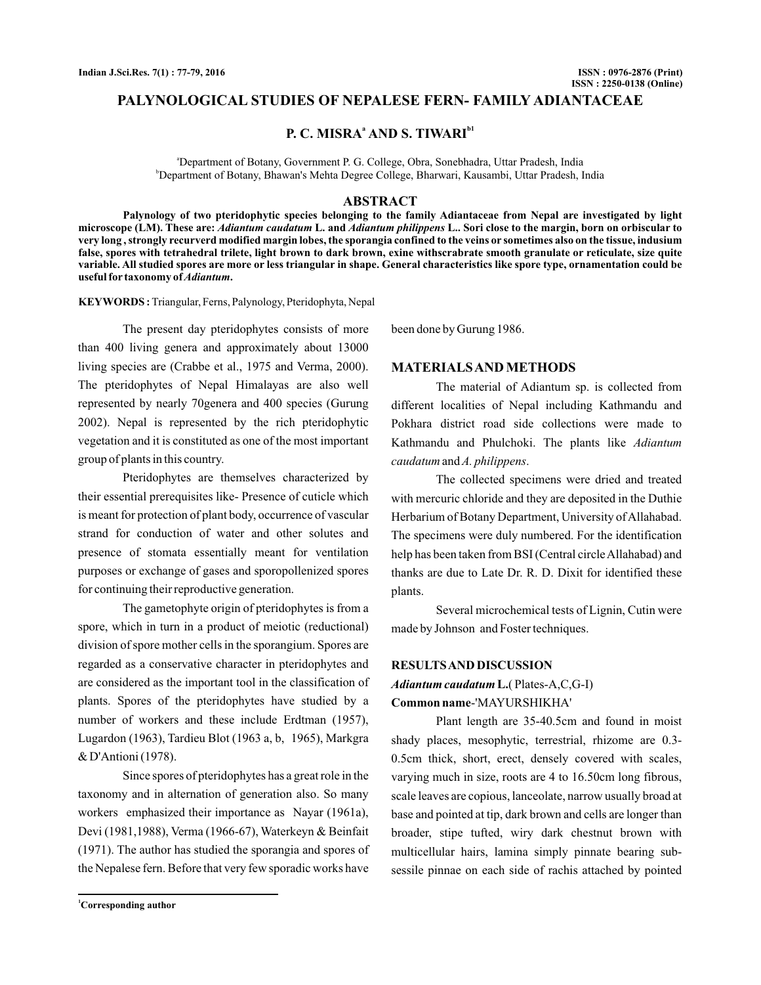## **PALYNOLOGICAL STUDIES OF NEPALESE FERN- FAMILY ADIANTACEAE**

# **P. C. MISRA<sup>a</sup> AND S. TIWARI**<sup>b1</sup>

a Department of Botany, Government P. G. College, Obra, Sonebhadra, Uttar Pradesh, India <sup>b</sup>Department of Botany, Bhawan's Mehta Degree College, Bharwari, Kausambi, Uttar Pradesh, India

#### **ABSTRACT**

**Palynology of two pteridophytic species belonging to the family Adiantaceae from Nepal are investigated by light** microscope (LM). These are: *Adiantum caudatum* L. and *Adiantum philippens* L.. Sori close to the margin, born on orbiscular to **very long , strongly recurverd modified margin lobes, the sporangia confined to the veins or sometimes also on the tissue, indusium false, spores with tetrahedral trilete, light brown to dark brown, exine withscrabrate smooth granulate or reticulate, size quite variable. All studied spores are more or less triangular in shape. General characteristics like spore type, ornamentation could be**  ${\bf u}$  seful for taxonomy of *Adiantum*.

**KEYWORDS :** Triangular, Ferns, Palynology, Pteridophyta, Nepal

The present day pteridophytes consists of more than 400 living genera and approximately about 13000 living species are (Crabbe et al., 1975 and Verma, 2000). The pteridophytes of Nepal Himalayas are also well represented by nearly 70genera and 400 species (Gurung 2002). Nepal is represented by the rich pteridophytic vegetation and it is constituted as one of the most important group of plants in this country.

Pteridophytes are themselves characterized by their essential prerequisites like- Presence of cuticle which is meant for protection of plant body, occurrence of vascular strand for conduction of water and other solutes and presence of stomata essentially meant for ventilation purposes or exchange of gases and sporopollenized spores for continuing their reproductive generation.

The gametophyte origin of pteridophytes is from a spore, which in turn in a product of meiotic (reductional) division of spore mother cells in the sporangium. Spores are regarded as a conservative character in pteridophytes and are considered as the important tool in the classification of plants. Spores of the pteridophytes have studied by a number of workers and these include Erdtman (1957), Lugardon (1963), Tardieu Blot (1963 a, b, 1965), Markgra & D'Antioni (1978).

Since spores of pteridophytes has a great role in the taxonomy and in alternation of generation also. So many workers emphasized their importance as Nayar (1961a), Devi (1981,1988), Verma (1966-67), Waterkeyn & Beinfait (1971). The author has studied the sporangia and spores of the Nepalese fern. Before that very few sporadic works have been done by Gurung 1986.

#### **MATERIALSAND METHODS**

The material of Adiantum sp. is collected from different localities of Nepal including Kathmandu and Pokhara district road side collections were made to Kathmandu and Phulchoki. The plants like *Adiantum* caudatum and A. philippens.

The collected specimens were dried and treated with mercuric chloride and they are deposited in the Duthie Herbarium of Botany Department, University of Allahabad. The specimens were duly numbered. For the identification help has been taken from BSI (Central circleAllahabad) and thanks are due to Late Dr. R. D. Dixit for identified these plants.

Several microchemical tests of Lignin, Cutin were made by Johnson and Foster techniques.

#### **RESULTSAND DISCUSSION**

# ( Plates-A,C,G-I) **L.** *Adiantum caudatum*

#### -'MAYURSHIKHA' **Common name**

Plant length are 35-40.5cm and found in moist shady places, mesophytic, terrestrial, rhizome are 0.3- 0.5cm thick, short, erect, densely covered with scales, varying much in size, roots are 4 to 16.50cm long fibrous, scale leaves are copious, lanceolate, narrow usually broad at base and pointed at tip, dark brown and cells are longer than broader, stipe tufted, wiry dark chestnut brown with multicellular hairs, lamina simply pinnate bearing subsessile pinnae on each side of rachis attached by pointed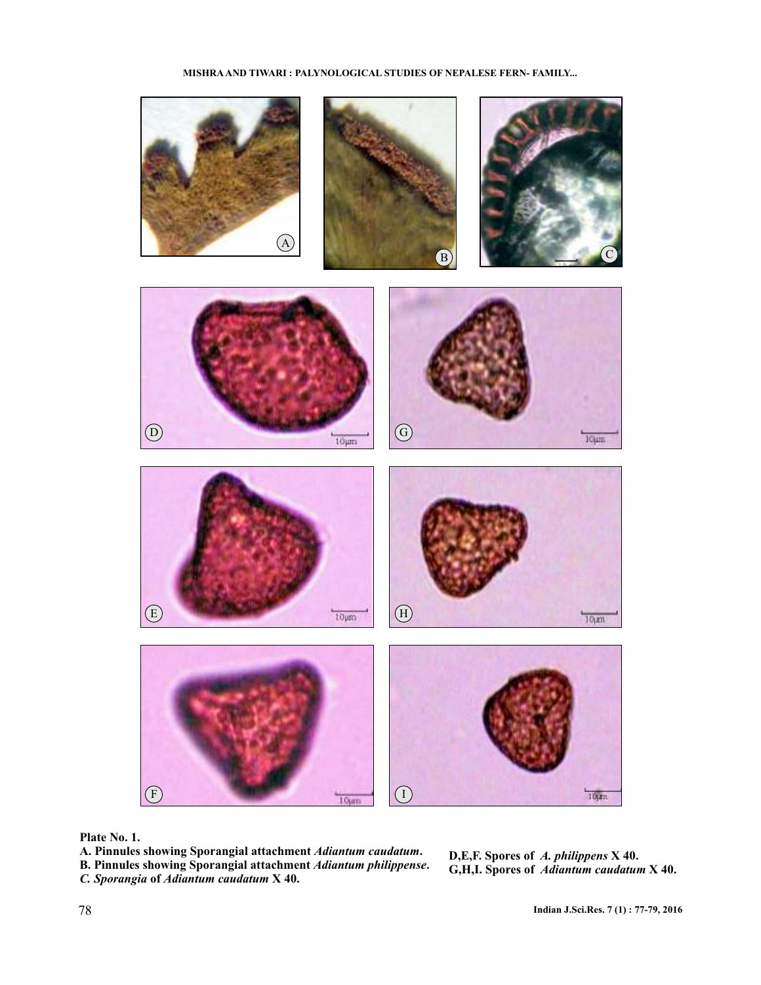#### **MISHRA AND TIWARI : PALYNOLOGICAL STUDIES OF NEPALESE FERN- FAMILY...**



**Plate No. 1.**

A. Pinnules showing Sporangial attachment Adiantum caudatum. **B. Pinnules showing Sporangial attachment Adiantum philippense. C.** Sporangia of Adiantum caudatum X 40.

**D,E,F. Spores of A. philippens X 40. G,H,I. Spores of Adiantum caudatum X 40.** *A. philippens Adiantum caudatum*